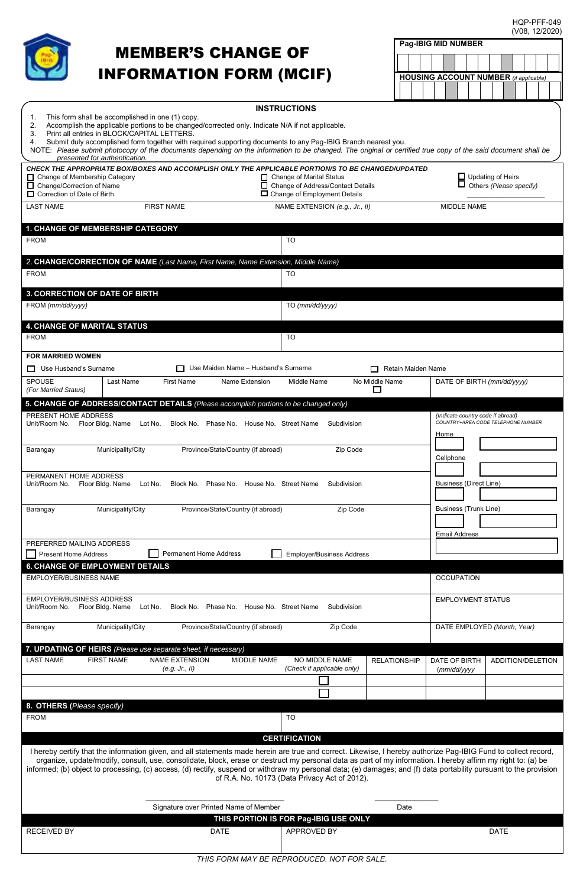HQP-PFF-049 (V08, 12/2020)



## MEMBER'S CHANGE OF INFORMATION FORM (MCIF)

| <b>INSTRUCTIONS</b><br>$\mathbf{1}$ .<br>This form shall be accomplished in one (1) copy.<br>Accomplish the applicable portions to be changed/corrected only. Indicate N/A if not applicable.<br>2.<br>Print all entries in BLOCK/CAPITAL LETTERS.<br>3.<br>Submit duly accomplished form together with required supporting documents to any Pag-IBIG Branch nearest you.<br>4.<br>NOTE: Please submit photocopy of the documents depending on the information to be changed. The original or certified true copy of the said document shall be<br>presented for authentication. |                                                                     |                                                                                 |  |  |  |  |
|----------------------------------------------------------------------------------------------------------------------------------------------------------------------------------------------------------------------------------------------------------------------------------------------------------------------------------------------------------------------------------------------------------------------------------------------------------------------------------------------------------------------------------------------------------------------------------|---------------------------------------------------------------------|---------------------------------------------------------------------------------|--|--|--|--|
| CHECK THE APPROPRIATE BOX/BOXES AND ACCOMPLISH ONLY THE APPLICABLE PORTION/S TO BE CHANGED/UPDATED<br>□ Change of Membership Category<br>□ Change of Marital Status<br>□ Change of Address/Contact Details<br>□ Change/Correction of Name<br>□ Change of Employment Details<br>□ Correction of Date of Birth                                                                                                                                                                                                                                                                     | $\Box$ Updating of Heirs<br>$\Box$ Others (Please specify)          |                                                                                 |  |  |  |  |
| <b>FIRST NAME</b><br><b>LAST NAME</b>                                                                                                                                                                                                                                                                                                                                                                                                                                                                                                                                            | NAME EXTENSION (e.g., Jr., II)                                      | MIDDLE NAME                                                                     |  |  |  |  |
| 1. CHANGE OF MEMBERSHIP CATEGORY<br><b>FROM</b>                                                                                                                                                                                                                                                                                                                                                                                                                                                                                                                                  | <b>TO</b>                                                           |                                                                                 |  |  |  |  |
| 2. CHANGE/CORRECTION OF NAME (Last Name, First Name, Name Extension, Middle Name)<br><b>FROM</b>                                                                                                                                                                                                                                                                                                                                                                                                                                                                                 | <b>TO</b>                                                           |                                                                                 |  |  |  |  |
| <b>3. CORRECTION OF DATE OF BIRTH</b><br>FROM (mm/dd/yyyy)                                                                                                                                                                                                                                                                                                                                                                                                                                                                                                                       | TO (mm/dd/yyyy)                                                     |                                                                                 |  |  |  |  |
| 4. CHANGE OF MARITAL STATUS<br><b>FROM</b>                                                                                                                                                                                                                                                                                                                                                                                                                                                                                                                                       | <b>TO</b>                                                           |                                                                                 |  |  |  |  |
| <b>FOR MARRIED WOMEN</b><br>□ Use Maiden Name - Husband's Surname<br>□ Use Husband's Surname<br>Retain Maiden Name<br>□                                                                                                                                                                                                                                                                                                                                                                                                                                                          |                                                                     |                                                                                 |  |  |  |  |
| SPOUSE<br>Last Name<br><b>First Name</b><br>Name Extension<br>(For Married Status)                                                                                                                                                                                                                                                                                                                                                                                                                                                                                               | Middle Name<br>No Middle Name<br>□                                  | DATE OF BIRTH (mm/dd/yyyy)                                                      |  |  |  |  |
| 5. CHANGE OF ADDRESS/CONTACT DETAILS (Please accomplish portions to be changed only)                                                                                                                                                                                                                                                                                                                                                                                                                                                                                             |                                                                     |                                                                                 |  |  |  |  |
| PRESENT HOME ADDRESS<br>Lot No. Block No. Phase No. House No. Street Name<br>Unit/Room No. Floor Bldg. Name                                                                                                                                                                                                                                                                                                                                                                                                                                                                      | Subdivision                                                         | (Indicate country code if abroad)<br>COUNTRY+AREA CODE TELEPHONE NUMBER<br>Home |  |  |  |  |
| Municipality/City<br>Province/State/Country (if abroad)<br>Barangay                                                                                                                                                                                                                                                                                                                                                                                                                                                                                                              | Zip Code                                                            | Cellphone                                                                       |  |  |  |  |
| PERMANENT HOME ADDRESS<br>Unit/Room No. Floor Bldg. Name<br>Lot No. Block No. Phase No. House No. Street Name                                                                                                                                                                                                                                                                                                                                                                                                                                                                    | Subdivision                                                         | Business (Direct Line)                                                          |  |  |  |  |
| Barangay<br>Municipality/City<br>Province/State/Country (if abroad)                                                                                                                                                                                                                                                                                                                                                                                                                                                                                                              | Business (Trunk Line)                                               |                                                                                 |  |  |  |  |
| <b>Email Address</b><br>PREFERRED MAILING ADDRESS                                                                                                                                                                                                                                                                                                                                                                                                                                                                                                                                |                                                                     |                                                                                 |  |  |  |  |
| <b>Permanent Home Address</b><br><b>Present Home Address</b><br><b>Employer/Business Address</b><br><b>6. CHANGE OF EMPLOYMENT DETAILS</b>                                                                                                                                                                                                                                                                                                                                                                                                                                       |                                                                     |                                                                                 |  |  |  |  |
| <b>EMPLOYER/BUSINESS NAME</b>                                                                                                                                                                                                                                                                                                                                                                                                                                                                                                                                                    |                                                                     | <b>OCCUPATION</b>                                                               |  |  |  |  |
| <b>EMPLOYER/BUSINESS ADDRESS</b><br>Unit/Room No.<br>Floor Bldg. Name<br>Lot No.<br>Block No. Phase No. House No. Street Name                                                                                                                                                                                                                                                                                                                                                                                                                                                    | Subdivision                                                         | <b>EMPLOYMENT STATUS</b>                                                        |  |  |  |  |
| Province/State/Country (if abroad)<br>Municipality/City<br>Barangay                                                                                                                                                                                                                                                                                                                                                                                                                                                                                                              | Zip Code                                                            | DATE EMPLOYED (Month, Year)                                                     |  |  |  |  |
| 7. UPDATING OF HEIRS (Please use separate sheet, if necessary)<br><b>LAST NAME</b><br><b>FIRST NAME</b><br><b>NAME EXTENSION</b><br>MIDDLE NAME<br>(e.g. Jr., II)                                                                                                                                                                                                                                                                                                                                                                                                                | NO MIDDLE NAME<br><b>RELATIONSHIP</b><br>(Check if applicable only) | DATE OF BIRTH<br>ADDITION/DELETION<br>(mm/dd/yyyy                               |  |  |  |  |
|                                                                                                                                                                                                                                                                                                                                                                                                                                                                                                                                                                                  |                                                                     |                                                                                 |  |  |  |  |
| 8. OTHERS (Please specify)                                                                                                                                                                                                                                                                                                                                                                                                                                                                                                                                                       |                                                                     |                                                                                 |  |  |  |  |
| <b>FROM</b>                                                                                                                                                                                                                                                                                                                                                                                                                                                                                                                                                                      | <b>TO</b>                                                           |                                                                                 |  |  |  |  |
| <b>CERTIFICATION</b><br>I hereby certify that the information given, and all statements made herein are true and correct. Likewise, I hereby authorize Pag-IBIG Fund to collect record,<br>organize, update/modify, consult, use, consolidate, block, erase or destruct my personal data as part of my information. I hereby affirm my right to: (a) be<br>informed; (b) object to processing, (c) access, (d) rectify, suspend or withdraw my personal data; (e) damages; and (f) data portability pursuant to the provision<br>of R.A. No. 10173 (Data Privacy Act of 2012).   |                                                                     |                                                                                 |  |  |  |  |
| Signature over Printed Name of Member                                                                                                                                                                                                                                                                                                                                                                                                                                                                                                                                            | Date                                                                |                                                                                 |  |  |  |  |
|                                                                                                                                                                                                                                                                                                                                                                                                                                                                                                                                                                                  | THIS PORTION IS FOR Pag-IBIG USE ONLY                               |                                                                                 |  |  |  |  |
| <b>RECEIVED BY</b><br><b>DATE</b>                                                                                                                                                                                                                                                                                                                                                                                                                                                                                                                                                | APPROVED BY                                                         | <b>DATE</b>                                                                     |  |  |  |  |